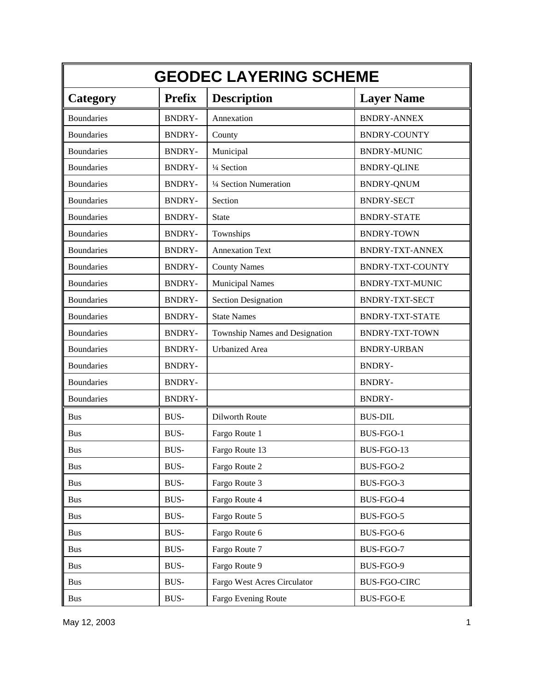| <b>GEODEC LAYERING SCHEME</b> |               |                                |                         |
|-------------------------------|---------------|--------------------------------|-------------------------|
| Category                      | <b>Prefix</b> | <b>Description</b>             | <b>Layer Name</b>       |
| <b>Boundaries</b>             | <b>BNDRY-</b> | Annexation                     | <b>BNDRY-ANNEX</b>      |
| <b>Boundaries</b>             | <b>BNDRY-</b> | County                         | <b>BNDRY-COUNTY</b>     |
| <b>Boundaries</b>             | <b>BNDRY-</b> | Municipal                      | <b>BNDRY-MUNIC</b>      |
| <b>Boundaries</b>             | <b>BNDRY-</b> | 1/4 Section                    | <b>BNDRY-QLINE</b>      |
| <b>Boundaries</b>             | <b>BNDRY-</b> | 1/4 Section Numeration         | <b>BNDRY-QNUM</b>       |
| <b>Boundaries</b>             | <b>BNDRY-</b> | Section                        | <b>BNDRY-SECT</b>       |
| <b>Boundaries</b>             | <b>BNDRY-</b> | <b>State</b>                   | <b>BNDRY-STATE</b>      |
| <b>Boundaries</b>             | <b>BNDRY-</b> | Townships                      | <b>BNDRY-TOWN</b>       |
| <b>Boundaries</b>             | <b>BNDRY-</b> | <b>Annexation Text</b>         | <b>BNDRY-TXT-ANNEX</b>  |
| <b>Boundaries</b>             | <b>BNDRY-</b> | <b>County Names</b>            | <b>BNDRY-TXT-COUNTY</b> |
| <b>Boundaries</b>             | <b>BNDRY-</b> | <b>Municipal Names</b>         | <b>BNDRY-TXT-MUNIC</b>  |
| <b>Boundaries</b>             | <b>BNDRY-</b> | <b>Section Designation</b>     | <b>BNDRY-TXT-SECT</b>   |
| <b>Boundaries</b>             | <b>BNDRY-</b> | <b>State Names</b>             | <b>BNDRY-TXT-STATE</b>  |
| <b>Boundaries</b>             | <b>BNDRY-</b> | Township Names and Designation | <b>BNDRY-TXT-TOWN</b>   |
| <b>Boundaries</b>             | <b>BNDRY-</b> | <b>Urbanized</b> Area          | <b>BNDRY-URBAN</b>      |
| <b>Boundaries</b>             | <b>BNDRY-</b> |                                | <b>BNDRY-</b>           |
| <b>Boundaries</b>             | <b>BNDRY-</b> |                                | <b>BNDRY-</b>           |
| <b>Boundaries</b>             | <b>BNDRY-</b> |                                | <b>BNDRY-</b>           |
| <b>Bus</b>                    | <b>BUS-</b>   | Dilworth Route                 | <b>BUS-DIL</b>          |
| <b>Bus</b>                    | <b>BUS-</b>   | Fargo Route 1                  | BUS-FGO-1               |
| <b>Bus</b>                    | BUS-          | Fargo Route 13                 | BUS-FGO-13              |
| <b>Bus</b>                    | BUS-          | Fargo Route 2                  | BUS-FGO-2               |
| <b>Bus</b>                    | <b>BUS-</b>   | Fargo Route 3                  | BUS-FGO-3               |
| <b>Bus</b>                    | BUS-          | Fargo Route 4                  | BUS-FGO-4               |
| <b>Bus</b>                    | BUS-          | Fargo Route 5                  | BUS-FGO-5               |
| <b>Bus</b>                    | BUS-          | Fargo Route 6                  | BUS-FGO-6               |
| <b>Bus</b>                    | BUS-          | Fargo Route 7                  | BUS-FGO-7               |
| <b>Bus</b>                    | BUS-          | Fargo Route 9                  | BUS-FGO-9               |
| <b>Bus</b>                    | BUS-          | Fargo West Acres Circulator    | <b>BUS-FGO-CIRC</b>     |
| <b>Bus</b>                    | BUS-          | Fargo Evening Route            | <b>BUS-FGO-E</b>        |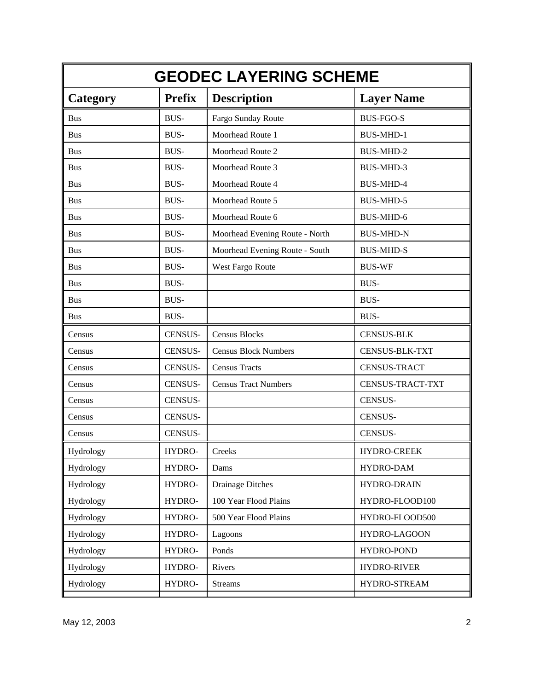|                 | <b>GEODEC LAYERING SCHEME</b> |                                         |                       |  |  |
|-----------------|-------------------------------|-----------------------------------------|-----------------------|--|--|
| <b>Category</b> | <b>Prefix</b>                 | <b>Description</b><br><b>Layer Name</b> |                       |  |  |
| <b>Bus</b>      | <b>BUS-</b>                   | Fargo Sunday Route                      | <b>BUS-FGO-S</b>      |  |  |
| <b>Bus</b>      | <b>BUS-</b>                   | Moorhead Route 1                        | <b>BUS-MHD-1</b>      |  |  |
| <b>Bus</b>      | <b>BUS-</b>                   | Moorhead Route 2                        | <b>BUS-MHD-2</b>      |  |  |
| <b>Bus</b>      | <b>BUS-</b>                   | Moorhead Route 3                        | <b>BUS-MHD-3</b>      |  |  |
| <b>Bus</b>      | <b>BUS-</b>                   | Moorhead Route 4                        | <b>BUS-MHD-4</b>      |  |  |
| <b>Bus</b>      | <b>BUS-</b>                   | Moorhead Route 5                        | <b>BUS-MHD-5</b>      |  |  |
| <b>Bus</b>      | <b>BUS-</b>                   | Moorhead Route 6                        | <b>BUS-MHD-6</b>      |  |  |
| <b>Bus</b>      | <b>BUS-</b>                   | Moorhead Evening Route - North          | <b>BUS-MHD-N</b>      |  |  |
| <b>Bus</b>      | <b>BUS-</b>                   | Moorhead Evening Route - South          | <b>BUS-MHD-S</b>      |  |  |
| <b>Bus</b>      | BUS-                          | West Fargo Route                        | <b>BUS-WF</b>         |  |  |
| <b>Bus</b>      | <b>BUS-</b>                   |                                         | <b>BUS-</b>           |  |  |
| <b>Bus</b>      | <b>BUS-</b>                   |                                         | <b>BUS-</b>           |  |  |
| <b>Bus</b>      | <b>BUS-</b>                   |                                         | <b>BUS-</b>           |  |  |
| Census          | <b>CENSUS-</b>                | <b>Census Blocks</b>                    | <b>CENSUS-BLK</b>     |  |  |
| Census          | CENSUS-                       | <b>Census Block Numbers</b>             | <b>CENSUS-BLK-TXT</b> |  |  |
| Census          | CENSUS-                       | <b>Census Tracts</b>                    | <b>CENSUS-TRACT</b>   |  |  |
| Census          | <b>CENSUS-</b>                | <b>Census Tract Numbers</b>             | CENSUS-TRACT-TXT      |  |  |
| Census          | <b>CENSUS-</b>                |                                         | <b>CENSUS-</b>        |  |  |
| Census          | <b>CENSUS-</b>                |                                         | <b>CENSUS-</b>        |  |  |
| Census          | <b>CENSUS-</b>                |                                         | <b>CENSUS-</b>        |  |  |
| Hydrology       | HYDRO-                        | Creeks                                  | HYDRO-CREEK           |  |  |
| Hydrology       | HYDRO-                        | Dams                                    | HYDRO-DAM             |  |  |
| Hydrology       | HYDRO-                        | <b>Drainage Ditches</b>                 | HYDRO-DRAIN           |  |  |
| Hydrology       | HYDRO-                        | 100 Year Flood Plains                   | HYDRO-FLOOD100        |  |  |
| Hydrology       | HYDRO-                        | 500 Year Flood Plains                   | HYDRO-FLOOD500        |  |  |
| Hydrology       | HYDRO-                        | Lagoons                                 | HYDRO-LAGOON          |  |  |
| Hydrology       | HYDRO-                        | Ponds                                   | <b>HYDRO-POND</b>     |  |  |
| Hydrology       | HYDRO-                        | Rivers                                  | <b>HYDRO-RIVER</b>    |  |  |
| Hydrology       | HYDRO-                        | <b>Streams</b>                          | HYDRO-STREAM          |  |  |
|                 |                               |                                         |                       |  |  |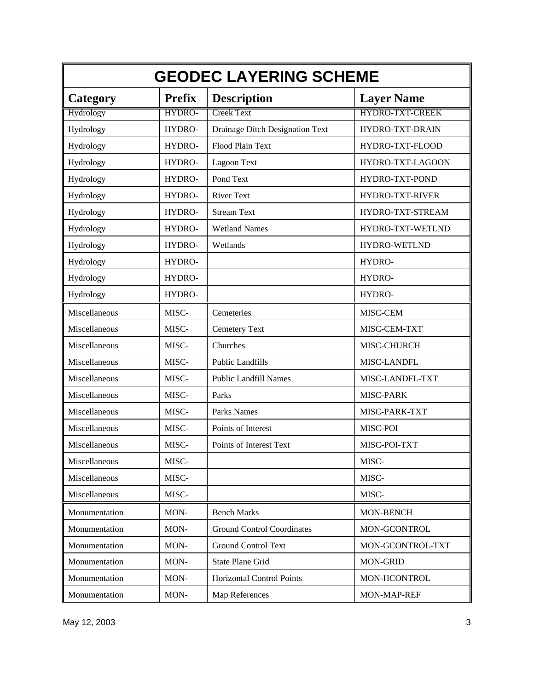| <b>GEODEC LAYERING SCHEME</b> |               |                                   |                        |
|-------------------------------|---------------|-----------------------------------|------------------------|
| <b>Category</b>               | <b>Prefix</b> | <b>Description</b>                | <b>Layer Name</b>      |
| Hydrology                     | HYDRO-        | <b>Creek Text</b>                 | <b>HYDRO-TXT-CREEK</b> |
| Hydrology                     | HYDRO-        | Drainage Ditch Designation Text   | HYDRO-TXT-DRAIN        |
| Hydrology                     | HYDRO-        | Flood Plain Text                  | HYDRO-TXT-FLOOD        |
| Hydrology                     | HYDRO-        | Lagoon Text                       | HYDRO-TXT-LAGOON       |
| Hydrology                     | HYDRO-        | Pond Text                         | HYDRO-TXT-POND         |
| Hydrology                     | HYDRO-        | <b>River Text</b>                 | HYDRO-TXT-RIVER        |
| Hydrology                     | HYDRO-        | <b>Stream Text</b>                | HYDRO-TXT-STREAM       |
| Hydrology                     | HYDRO-        | <b>Wetland Names</b>              | HYDRO-TXT-WETLND       |
| Hydrology                     | HYDRO-        | Wetlands                          | <b>HYDRO-WETLND</b>    |
| Hydrology                     | HYDRO-        |                                   | HYDRO-                 |
| Hydrology                     | HYDRO-        |                                   | HYDRO-                 |
| Hydrology                     | HYDRO-        |                                   | HYDRO-                 |
| Miscellaneous                 | MISC-         | Cemeteries                        | MISC-CEM               |
| Miscellaneous                 | MISC-         | Cemetery Text                     | MISC-CEM-TXT           |
| Miscellaneous                 | MISC-         | Churches                          | MISC-CHURCH            |
| Miscellaneous                 | MISC-         | <b>Public Landfills</b>           | MISC-LANDFL            |
| Miscellaneous                 | MISC-         | <b>Public Landfill Names</b>      | MISC-LANDFL-TXT        |
| Miscellaneous                 | MISC-         | Parks                             | MISC-PARK              |
| Miscellaneous                 | MISC-         | Parks Names                       | MISC-PARK-TXT          |
| Miscellaneous                 | MISC-         | Points of Interest                | MISC-POI               |
| Miscellaneous                 | MISC-         | Points of Interest Text           | MISC-POI-TXT           |
| Miscellaneous                 | MISC-         |                                   | MISC-                  |
| Miscellaneous                 | MISC-         |                                   | MISC-                  |
| Miscellaneous                 | MISC-         |                                   | MISC-                  |
| Monumentation                 | MON-          | <b>Bench Marks</b>                | MON-BENCH              |
| Monumentation                 | MON-          | <b>Ground Control Coordinates</b> | <b>MON-GCONTROL</b>    |
| Monumentation                 | MON-          | <b>Ground Control Text</b>        | MON-GCONTROL-TXT       |
| Monumentation                 | MON-          | State Plane Grid                  | <b>MON-GRID</b>        |
| Monumentation                 | MON-          | <b>Horizontal Control Points</b>  | MON-HCONTROL           |
| Monumentation                 | MON-          | Map References                    | MON-MAP-REF            |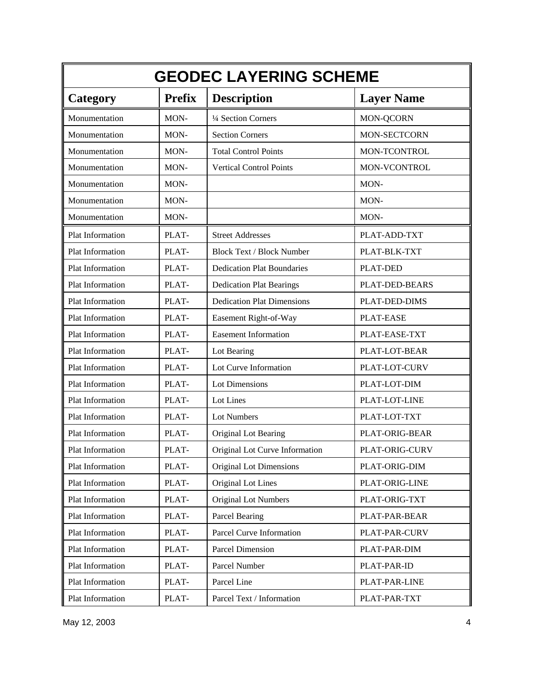| <b>GEODEC LAYERING SCHEME</b> |               |                                   |                     |
|-------------------------------|---------------|-----------------------------------|---------------------|
| <b>Category</b>               | <b>Prefix</b> | <b>Description</b>                | <b>Layer Name</b>   |
| Monumentation                 | MON-          | 1/4 Section Corners               | MON-QCORN           |
| Monumentation                 | MON-          | <b>Section Corners</b>            | <b>MON-SECTCORN</b> |
| Monumentation                 | MON-          | <b>Total Control Points</b>       | MON-TCONTROL        |
| Monumentation                 | MON-          | <b>Vertical Control Points</b>    | MON-VCONTROL        |
| Monumentation                 | MON-          |                                   | MON-                |
| Monumentation                 | MON-          |                                   | MON-                |
| Monumentation                 | MON-          |                                   | MON-                |
| Plat Information              | PLAT-         | <b>Street Addresses</b>           | PLAT-ADD-TXT        |
| Plat Information              | PLAT-         | <b>Block Text / Block Number</b>  | PLAT-BLK-TXT        |
| Plat Information              | PLAT-         | <b>Dedication Plat Boundaries</b> | PLAT-DED            |
| Plat Information              | PLAT-         | <b>Dedication Plat Bearings</b>   | PLAT-DED-BEARS      |
| Plat Information              | PLAT-         | <b>Dedication Plat Dimensions</b> | PLAT-DED-DIMS       |
| Plat Information              | PLAT-         | Easement Right-of-Way             | <b>PLAT-EASE</b>    |
| Plat Information              | PLAT-         | <b>Easement Information</b>       | PLAT-EASE-TXT       |
| Plat Information              | PLAT-         | Lot Bearing                       | PLAT-LOT-BEAR       |
| Plat Information              | PLAT-         | Lot Curve Information             | PLAT-LOT-CURV       |
| Plat Information              | PLAT-         | Lot Dimensions                    | PLAT-LOT-DIM        |
| Plat Information              | PLAT-         | Lot Lines                         | PLAT-LOT-LINE       |
| Plat Information              | PLAT-         | Lot Numbers                       | PLAT-LOT-TXT        |
| Plat Information              | PLAT-         | Original Lot Bearing              | PLAT-ORIG-BEAR      |
| <b>Plat Information</b>       | PLAT-         | Original Lot Curve Information    | PLAT-ORIG-CURV      |
| Plat Information              | PLAT-         | Original Lot Dimensions           | PLAT-ORIG-DIM       |
| Plat Information              | PLAT-         | Original Lot Lines                | PLAT-ORIG-LINE      |
| Plat Information              | PLAT-         | <b>Original Lot Numbers</b>       | PLAT-ORIG-TXT       |
| Plat Information              | PLAT-         | Parcel Bearing                    | PLAT-PAR-BEAR       |
| Plat Information              | PLAT-         | Parcel Curve Information          | PLAT-PAR-CURV       |
| Plat Information              | PLAT-         | <b>Parcel Dimension</b>           | PLAT-PAR-DIM        |
| Plat Information              | PLAT-         | Parcel Number                     | PLAT-PAR-ID         |
| Plat Information              | PLAT-         | Parcel Line                       | PLAT-PAR-LINE       |
| Plat Information              | PLAT-         | Parcel Text / Information         | PLAT-PAR-TXT        |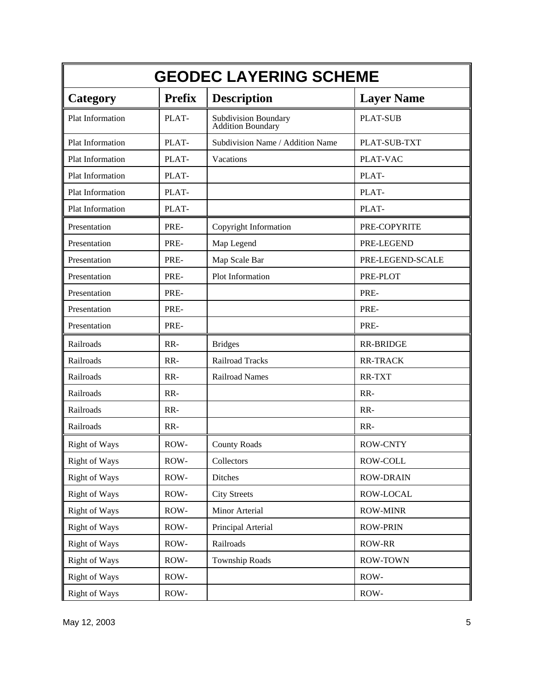|                      | <b>GEODEC LAYERING SCHEME</b> |                                                  |                   |  |
|----------------------|-------------------------------|--------------------------------------------------|-------------------|--|
| Category             | <b>Prefix</b>                 | <b>Description</b>                               | <b>Layer Name</b> |  |
| Plat Information     | PLAT-                         | Subdivision Boundary<br><b>Addition Boundary</b> | <b>PLAT-SUB</b>   |  |
| Plat Information     | PLAT-                         | Subdivision Name / Addition Name                 | PLAT-SUB-TXT      |  |
| Plat Information     | PLAT-                         | Vacations                                        | PLAT-VAC          |  |
| Plat Information     | PLAT-                         |                                                  | PLAT-             |  |
| Plat Information     | PLAT-                         |                                                  | PLAT-             |  |
| Plat Information     | PLAT-                         |                                                  | PLAT-             |  |
| Presentation         | PRE-                          | Copyright Information                            | PRE-COPYRITE      |  |
| Presentation         | PRE-                          | Map Legend                                       | PRE-LEGEND        |  |
| Presentation         | PRE-                          | Map Scale Bar                                    | PRE-LEGEND-SCALE  |  |
| Presentation         | PRE-                          | Plot Information                                 | PRE-PLOT          |  |
| Presentation         | PRE-                          |                                                  | PRE-              |  |
| Presentation         | PRE-                          |                                                  | PRE-              |  |
| Presentation         | PRE-                          |                                                  | PRE-              |  |
| Railroads            | RR-                           | <b>Bridges</b>                                   | <b>RR-BRIDGE</b>  |  |
| Railroads            | RR-                           | <b>Railroad Tracks</b>                           | <b>RR-TRACK</b>   |  |
| Railroads            | RR-                           | <b>Railroad Names</b>                            | RR-TXT            |  |
| Railroads            | RR-                           |                                                  | RR-               |  |
| Railroads            | RR-                           |                                                  | RR-               |  |
| Railroads            | RR-                           |                                                  | RR-               |  |
| <b>Right of Ways</b> | ROW-                          | <b>County Roads</b>                              | <b>ROW-CNTY</b>   |  |
| <b>Right of Ways</b> | ROW-                          | Collectors                                       | ROW-COLL          |  |
| <b>Right of Ways</b> | ROW-                          | Ditches                                          | <b>ROW-DRAIN</b>  |  |
| <b>Right of Ways</b> | ROW-                          | <b>City Streets</b>                              | ROW-LOCAL         |  |
| <b>Right of Ways</b> | ROW-                          | Minor Arterial                                   | <b>ROW-MINR</b>   |  |
| <b>Right of Ways</b> | ROW-                          | Principal Arterial                               | <b>ROW-PRIN</b>   |  |
| <b>Right of Ways</b> | ROW-                          | Railroads                                        | <b>ROW-RR</b>     |  |
| Right of Ways        | ROW-                          | <b>Township Roads</b>                            | <b>ROW-TOWN</b>   |  |
| <b>Right of Ways</b> | ROW-                          |                                                  | ROW-              |  |
| <b>Right of Ways</b> | ROW-                          |                                                  | ROW-              |  |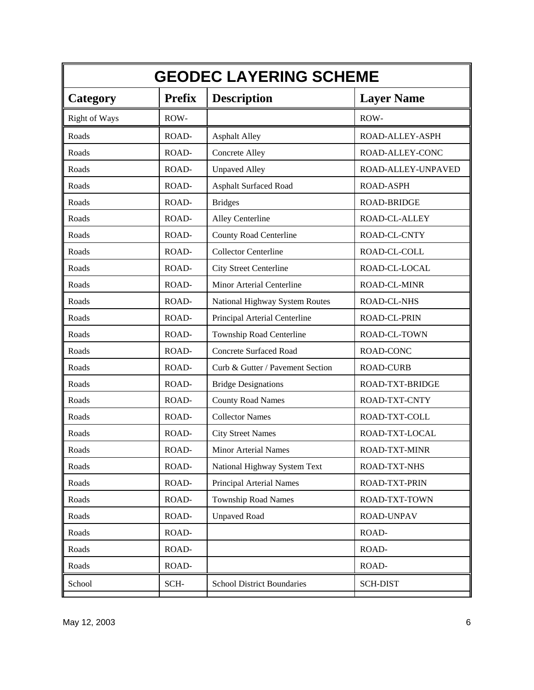| <b>GEODEC LAYERING SCHEME</b> |               |                                   |                      |
|-------------------------------|---------------|-----------------------------------|----------------------|
| Category                      | <b>Prefix</b> | <b>Description</b>                | <b>Layer Name</b>    |
| <b>Right of Ways</b>          | ROW-          |                                   | ROW-                 |
| Roads                         | ROAD-         | <b>Asphalt Alley</b>              | ROAD-ALLEY-ASPH      |
| Roads                         | ROAD-         | <b>Concrete Alley</b>             | ROAD-ALLEY-CONC      |
| Roads                         | ROAD-         | <b>Unpaved Alley</b>              | ROAD-ALLEY-UNPAVED   |
| Roads                         | ROAD-         | <b>Asphalt Surfaced Road</b>      | <b>ROAD-ASPH</b>     |
| Roads                         | ROAD-         | <b>Bridges</b>                    | <b>ROAD-BRIDGE</b>   |
| Roads                         | ROAD-         | Alley Centerline                  | ROAD-CL-ALLEY        |
| Roads                         | ROAD-         | <b>County Road Centerline</b>     | ROAD-CL-CNTY         |
| Roads                         | ROAD-         | <b>Collector Centerline</b>       | ROAD-CL-COLL         |
| Roads                         | ROAD-         | <b>City Street Centerline</b>     | ROAD-CL-LOCAL        |
| Roads                         | ROAD-         | Minor Arterial Centerline         | <b>ROAD-CL-MINR</b>  |
| Roads                         | ROAD-         | National Highway System Routes    | <b>ROAD-CL-NHS</b>   |
| Roads                         | ROAD-         | Principal Arterial Centerline     | ROAD-CL-PRIN         |
| Roads                         | ROAD-         | Township Road Centerline          | ROAD-CL-TOWN         |
| Roads                         | ROAD-         | <b>Concrete Surfaced Road</b>     | ROAD-CONC            |
| Roads                         | ROAD-         | Curb & Gutter / Pavement Section  | <b>ROAD-CURB</b>     |
| Roads                         | ROAD-         | <b>Bridge Designations</b>        | ROAD-TXT-BRIDGE      |
| Roads                         | ROAD-         | <b>County Road Names</b>          | ROAD-TXT-CNTY        |
| Roads                         | ROAD-         | <b>Collector Names</b>            | ROAD-TXT-COLL        |
| Roads                         | ROAD-         | <b>City Street Names</b>          | ROAD-TXT-LOCAL       |
| Roads                         | ROAD-         | Minor Arterial Names              | <b>ROAD-TXT-MINR</b> |
| Roads                         | ROAD-         | National Highway System Text      | ROAD-TXT-NHS         |
| Roads                         | ROAD-         | Principal Arterial Names          | ROAD-TXT-PRIN        |
| Roads                         | ROAD-         | <b>Township Road Names</b>        | ROAD-TXT-TOWN        |
| Roads                         | ROAD-         | <b>Unpaved Road</b>               | <b>ROAD-UNPAV</b>    |
| Roads                         | ROAD-         |                                   | ROAD-                |
| Roads                         | ROAD-         |                                   | ROAD-                |
| Roads                         | ROAD-         |                                   | ROAD-                |
| School                        | SCH-          | <b>School District Boundaries</b> | <b>SCH-DIST</b>      |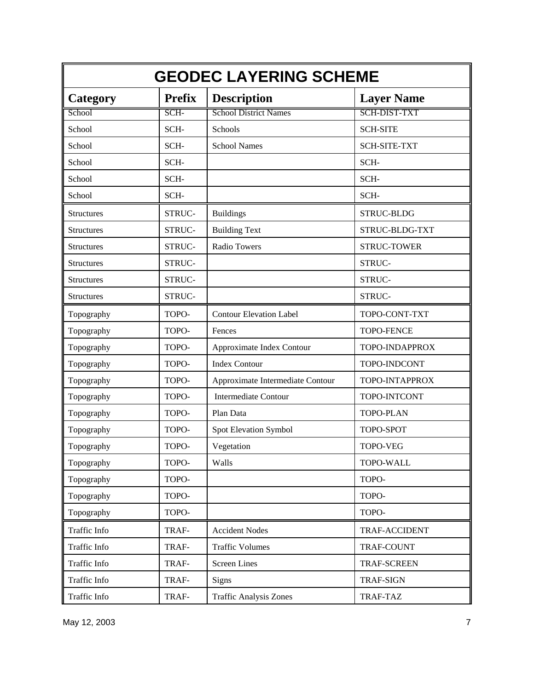| <b>GEODEC LAYERING SCHEME</b> |               |                                  |                     |
|-------------------------------|---------------|----------------------------------|---------------------|
| <b>Category</b>               | <b>Prefix</b> | <b>Description</b>               | <b>Layer Name</b>   |
| School                        | SCH-          | <b>School District Names</b>     | <b>SCH-DIST-TXT</b> |
| School                        | SCH-          | Schools                          | <b>SCH-SITE</b>     |
| School                        | SCH-          | <b>School Names</b>              | <b>SCH-SITE-TXT</b> |
| School                        | SCH-          |                                  | SCH-                |
| School                        | SCH-          |                                  | SCH-                |
| School                        | SCH-          |                                  | SCH-                |
| <b>Structures</b>             | STRUC-        | <b>Buildings</b>                 | STRUC-BLDG          |
| Structures                    | STRUC-        | <b>Building Text</b>             | STRUC-BLDG-TXT      |
| <b>Structures</b>             | STRUC-        | Radio Towers                     | <b>STRUC-TOWER</b>  |
| <b>Structures</b>             | STRUC-        |                                  | STRUC-              |
| <b>Structures</b>             | STRUC-        |                                  | STRUC-              |
| Structures                    | STRUC-        |                                  | STRUC-              |
| Topography                    | TOPO-         | <b>Contour Elevation Label</b>   | TOPO-CONT-TXT       |
| Topography                    | TOPO-         | Fences                           | <b>TOPO-FENCE</b>   |
| Topography                    | TOPO-         | Approximate Index Contour        | TOPO-INDAPPROX      |
| Topography                    | TOPO-         | <b>Index Contour</b>             | TOPO-INDCONT        |
| Topography                    | TOPO-         | Approximate Intermediate Contour | TOPO-INTAPPROX      |
| Topography                    | TOPO-         | <b>Intermediate Contour</b>      | TOPO-INTCONT        |
| Topography                    | TOPO-         | Plan Data                        | <b>TOPO-PLAN</b>    |
| Topography                    | TOPO-         | Spot Elevation Symbol            | TOPO-SPOT           |
| Topography                    | TOPO-         | Vegetation                       | <b>TOPO-VEG</b>     |
| Topography                    | TOPO-         | Walls                            | TOPO-WALL           |
| Topography                    | TOPO-         |                                  | TOPO-               |
| Topography                    | TOPO-         |                                  | TOPO-               |
| Topography                    | TOPO-         |                                  | TOPO-               |
| Traffic Info                  | TRAF-         | <b>Accident Nodes</b>            | TRAF-ACCIDENT       |
| Traffic Info                  | TRAF-         | <b>Traffic Volumes</b>           | TRAF-COUNT          |
| Traffic Info                  | TRAF-         | <b>Screen Lines</b>              | <b>TRAF-SCREEN</b>  |
| Traffic Info                  | TRAF-         | Signs                            | <b>TRAF-SIGN</b>    |
| Traffic Info                  | TRAF-         | <b>Traffic Analysis Zones</b>    | TRAF-TAZ            |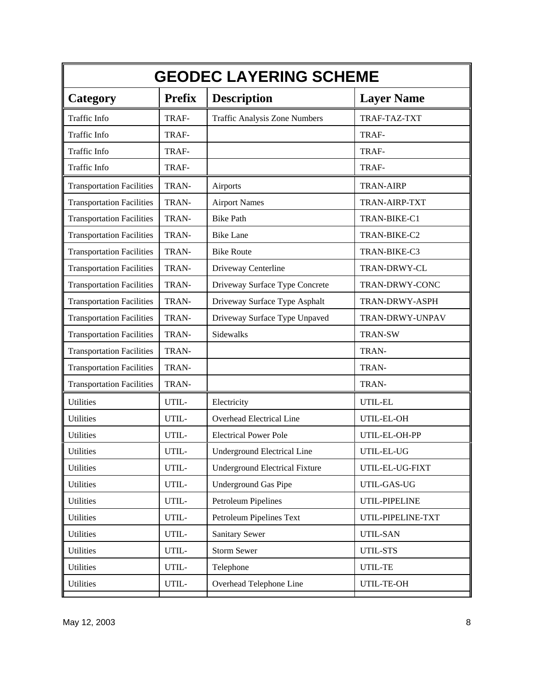| <b>GEODEC LAYERING SCHEME</b>    |               |                                         |                   |  |  |
|----------------------------------|---------------|-----------------------------------------|-------------------|--|--|
| Category                         | <b>Prefix</b> | <b>Description</b><br><b>Layer Name</b> |                   |  |  |
| Traffic Info                     | TRAF-         | <b>Traffic Analysis Zone Numbers</b>    | TRAF-TAZ-TXT      |  |  |
| Traffic Info                     | TRAF-         |                                         | TRAF-             |  |  |
| Traffic Info                     | TRAF-         |                                         | TRAF-             |  |  |
| Traffic Info                     | TRAF-         |                                         | TRAF-             |  |  |
| <b>Transportation Facilities</b> | TRAN-         | Airports                                | <b>TRAN-AIRP</b>  |  |  |
| <b>Transportation Facilities</b> | TRAN-         | <b>Airport Names</b>                    | TRAN-AIRP-TXT     |  |  |
| <b>Transportation Facilities</b> | TRAN-         | <b>Bike Path</b>                        | TRAN-BIKE-C1      |  |  |
| <b>Transportation Facilities</b> | TRAN-         | <b>Bike Lane</b>                        | TRAN-BIKE-C2      |  |  |
| <b>Transportation Facilities</b> | TRAN-         | <b>Bike Route</b>                       | TRAN-BIKE-C3      |  |  |
| <b>Transportation Facilities</b> | TRAN-         | Driveway Centerline                     | TRAN-DRWY-CL      |  |  |
| <b>Transportation Facilities</b> | TRAN-         | Driveway Surface Type Concrete          | TRAN-DRWY-CONC    |  |  |
| <b>Transportation Facilities</b> | TRAN-         | Driveway Surface Type Asphalt           | TRAN-DRWY-ASPH    |  |  |
| <b>Transportation Facilities</b> | TRAN-         | Driveway Surface Type Unpaved           | TRAN-DRWY-UNPAV   |  |  |
| <b>Transportation Facilities</b> | TRAN-         | Sidewalks                               | <b>TRAN-SW</b>    |  |  |
| <b>Transportation Facilities</b> | TRAN-         |                                         | TRAN-             |  |  |
| <b>Transportation Facilities</b> | TRAN-         |                                         | TRAN-             |  |  |
| <b>Transportation Facilities</b> | TRAN-         |                                         | TRAN-             |  |  |
| <b>Utilities</b>                 | UTIL-         | Electricity                             | UTIL-EL           |  |  |
| Utilities                        | UTIL-         | Overhead Electrical Line                | UTIL-EL-OH        |  |  |
| Utilities                        | UTIL-         | <b>Electrical Power Pole</b>            | UTIL-EL-OH-PP     |  |  |
| Utilities                        | UTIL-         | Underground Electrical Line             | UTIL-EL-UG        |  |  |
| <b>Utilities</b>                 | UTIL-         | <b>Underground Electrical Fixture</b>   | UTIL-EL-UG-FIXT   |  |  |
| Utilities                        | UTIL-         | <b>Underground Gas Pipe</b>             | UTIL-GAS-UG       |  |  |
| <b>Utilities</b>                 | UTIL-         | Petroleum Pipelines                     | UTIL-PIPELINE     |  |  |
| Utilities                        | UTIL-         | Petroleum Pipelines Text                | UTIL-PIPELINE-TXT |  |  |
| Utilities                        | UTIL-         | <b>Sanitary Sewer</b>                   | UTIL-SAN          |  |  |
| <b>Utilities</b>                 | UTIL-         | <b>Storm Sewer</b>                      | UTIL-STS          |  |  |
| Utilities                        | UTIL-         | Telephone                               | UTIL-TE           |  |  |
| Utilities                        | UTIL-         | Overhead Telephone Line                 | UTIL-TE-OH        |  |  |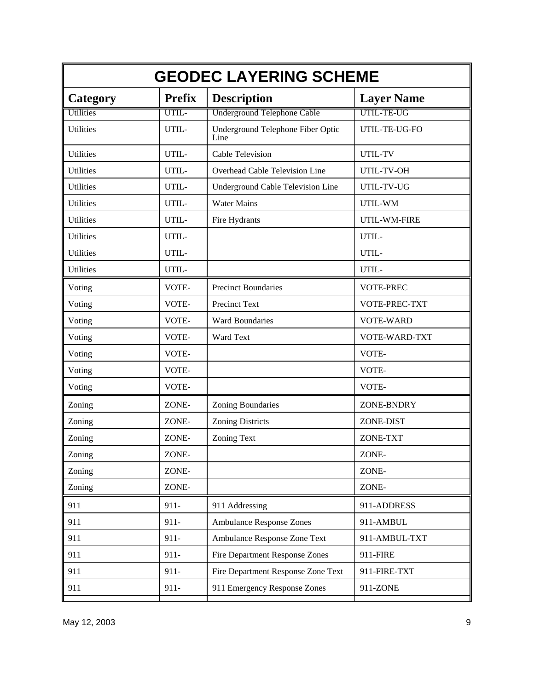|                  | <b>GEODEC LAYERING SCHEME</b> |                                           |                   |  |
|------------------|-------------------------------|-------------------------------------------|-------------------|--|
| Category         | <b>Prefix</b>                 | <b>Description</b>                        | <b>Layer Name</b> |  |
| Utilities        | UTIL-                         | Underground Telephone Cable               | UTIL-TE-UG        |  |
| <b>Utilities</b> | UTIL-                         | Underground Telephone Fiber Optic<br>Line | UTIL-TE-UG-FO     |  |
| <b>Utilities</b> | UTIL-                         | Cable Television                          | UTIL-TV           |  |
| Utilities        | UTIL-                         | Overhead Cable Television Line            | UTIL-TV-OH        |  |
| <b>Utilities</b> | UTIL-                         | <b>Underground Cable Television Line</b>  | UTIL-TV-UG        |  |
| Utilities        | UTIL-                         | <b>Water Mains</b>                        | UTIL-WM           |  |
| Utilities        | UTIL-                         | Fire Hydrants                             | UTIL-WM-FIRE      |  |
| <b>Utilities</b> | UTIL-                         |                                           | UTIL-             |  |
| <b>Utilities</b> | UTIL-                         |                                           | UTIL-             |  |
| Utilities        | UTIL-                         |                                           | UTIL-             |  |
| Voting           | VOTE-                         | <b>Precinct Boundaries</b>                | <b>VOTE-PREC</b>  |  |
| Voting           | VOTE-                         | <b>Precinct Text</b>                      | VOTE-PREC-TXT     |  |
| Voting           | VOTE-                         | <b>Ward Boundaries</b>                    | <b>VOTE-WARD</b>  |  |
| Voting           | VOTE-                         | Ward Text                                 | VOTE-WARD-TXT     |  |
| Voting           | VOTE-                         |                                           | VOTE-             |  |
| Voting           | VOTE-                         |                                           | VOTE-             |  |
| Voting           | VOTE-                         |                                           | VOTE-             |  |
| Zoning           | ZONE-                         | Zoning Boundaries                         | ZONE-BNDRY        |  |
| Zoning           | ZONE-                         | <b>Zoning Districts</b>                   | ZONE-DIST         |  |
| Zoning           | ZONE-                         | <b>Zoning Text</b>                        | ZONE-TXT          |  |
| Zoning           | ZONE-                         |                                           | ZONE-             |  |
| Zoning           | ZONE-                         |                                           | ZONE-             |  |
| Zoning           | ZONE-                         |                                           | ZONE-             |  |
| 911              | $911 -$                       | 911 Addressing                            | 911-ADDRESS       |  |
| 911              | $911 -$                       | <b>Ambulance Response Zones</b>           | 911-AMBUL         |  |
| 911              | $911 -$                       | Ambulance Response Zone Text              | 911-AMBUL-TXT     |  |
| 911              | $911 -$                       | <b>Fire Department Response Zones</b>     | 911-FIRE          |  |
| 911              | $911 -$                       | Fire Department Response Zone Text        | 911-FIRE-TXT      |  |
| 911              | $911 -$                       | 911 Emergency Response Zones              | 911-ZONE          |  |
|                  |                               |                                           |                   |  |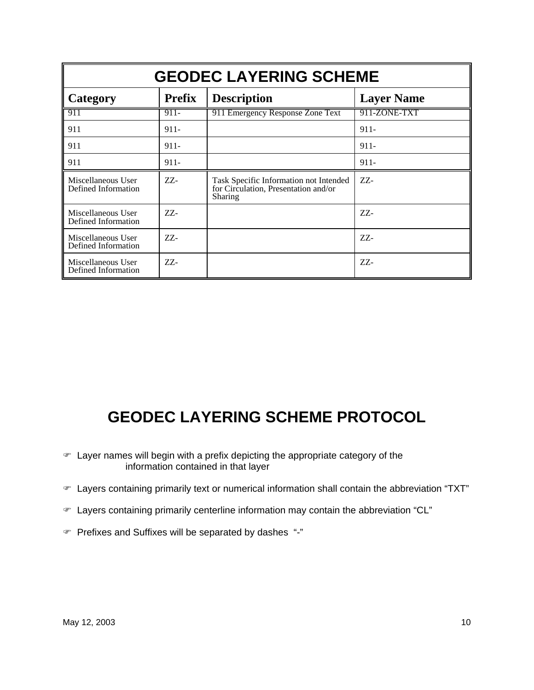| <b>GEODEC LAYERING SCHEME</b>             |               |                                                                                           |                 |  |  |  |  |
|-------------------------------------------|---------------|-------------------------------------------------------------------------------------------|-----------------|--|--|--|--|
| Category                                  | <b>Prefix</b> | <b>Layer Name</b><br><b>Description</b>                                                   |                 |  |  |  |  |
| 911                                       | $911 -$       | 911 Emergency Response Zone Text                                                          | 911-ZONE-TXT    |  |  |  |  |
| 911                                       | $911 -$       |                                                                                           | $911 -$         |  |  |  |  |
| 911                                       | $911 -$       |                                                                                           | $911 -$         |  |  |  |  |
| 911                                       | $911 -$       |                                                                                           | $911 -$         |  |  |  |  |
| Miscellaneous User<br>Defined Information | ZZ-           | Task Specific Information not Intended<br>for Circulation, Presentation and/or<br>Sharing | $ZZ$ -          |  |  |  |  |
| Miscellaneous User<br>Defined Information | ZZ-           |                                                                                           | ZZ-             |  |  |  |  |
| Miscellaneous User<br>Defined Information | $ZZ$ -        |                                                                                           | $ZZ-$           |  |  |  |  |
| Miscellaneous User<br>Defined Information | ZZ-           |                                                                                           | $Z\mathbb{Z}$ - |  |  |  |  |

## **GEODEC LAYERING SCHEME PROTOCOL**

- ) Layer names will begin with a prefix depicting the appropriate category of the information contained in that layer
- ) Layers containing primarily text or numerical information shall contain the abbreviation "TXT"
- ) Layers containing primarily centerline information may contain the abbreviation "CL"
- ) Prefixes and Suffixes will be separated by dashes "-"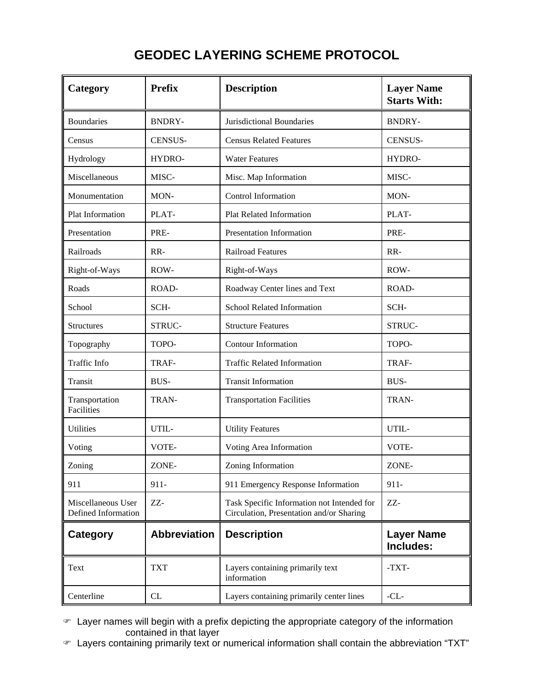## **GEODEC LAYERING SCHEME PROTOCOL**

| Category                                  | <b>Prefix</b>       | <b>Description</b>                                                                     | <b>Layer Name</b><br><b>Starts With:</b> |
|-------------------------------------------|---------------------|----------------------------------------------------------------------------------------|------------------------------------------|
| <b>Boundaries</b>                         | <b>BNDRY-</b>       | Jurisdictional Boundaries                                                              | <b>BNDRY-</b>                            |
| Census                                    | <b>CENSUS-</b>      | <b>Census Related Features</b>                                                         | <b>CENSUS-</b>                           |
| Hydrology                                 | HYDRO-              | <b>Water Features</b>                                                                  | HYDRO-                                   |
| Miscellaneous                             | MISC-               | Misc. Map Information                                                                  | MISC-                                    |
| Monumentation                             | MON-                | Control Information                                                                    | MON-                                     |
| Plat Information                          | PLAT-               | <b>Plat Related Information</b>                                                        | PLAT-                                    |
| Presentation                              | PRE-                | Presentation Information                                                               | PRE-                                     |
| Railroads                                 | RR-                 | <b>Railroad Features</b>                                                               | RR-                                      |
| Right-of-Ways                             | ROW-                | Right-of-Ways                                                                          | ROW-                                     |
| Roads                                     | ROAD-               | Roadway Center lines and Text                                                          | ROAD-                                    |
| School                                    | SCH-                | School Related Information                                                             | SCH-                                     |
| <b>Structures</b>                         | STRUC-              | <b>Structure Features</b>                                                              | STRUC-                                   |
| Topography                                | TOPO-               | Contour Information                                                                    | TOPO-                                    |
| Traffic Info                              | TRAF-               | <b>Traffic Related Information</b>                                                     | TRAF-                                    |
| Transit                                   | <b>BUS-</b>         | <b>Transit Information</b>                                                             | BUS-                                     |
| Transportation<br>Facilities              | TRAN-               | <b>Transportation Facilities</b>                                                       | TRAN-                                    |
| Utilities                                 | UTIL-               | <b>Utility Features</b>                                                                | UTIL-                                    |
| Voting                                    | VOTE-               | Voting Area Information                                                                | VOTE-                                    |
| Zoning                                    | ZONE-               | Zoning Information                                                                     | ZONE-                                    |
| 911                                       | 911-                | 911 Emergency Response Information                                                     | $911 -$                                  |
| Miscellaneous User<br>Defined Information | ZZ-                 | Task Specific Information not Intended for<br>Circulation, Presentation and/or Sharing | ZZ-                                      |
| Category                                  | <b>Abbreviation</b> | <b>Description</b>                                                                     | <b>Layer Name</b><br>Includes:           |
| Text                                      | <b>TXT</b>          | Layers containing primarily text<br>information                                        | -TXT-                                    |
| Centerline                                | CL                  | Layers containing primarily center lines                                               | $-CL-$                                   |

 $\mathcal F$  Layer names will begin with a prefix depicting the appropriate category of the information contained in that layer

) Layers containing primarily text or numerical information shall contain the abbreviation "TXT"